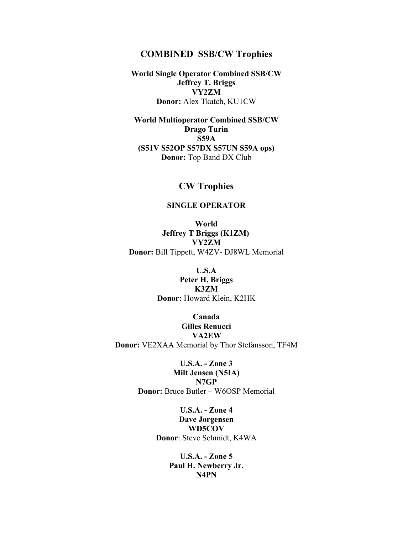### **COMBINED SSB/CW Trophies**

**World Single Operator Combined SSB/CW Jeffrey T. Briggs VY2ZM Donor:** Alex Tkatch, KU1CW

**World Multioperator Combined SSB/CW Drago Turin S59A (S51V S52OP S57DX S57UN S59A ops) Donor:** Top Band DX Club

# **CW Trophies**

#### **SINGLE OPERATOR**

**World Jeffrey T Briggs (K1ZM) VY2ZM Donor:** Bill Tippett, W4ZV- DJ8WL Memorial

**U.S.A**

**Peter H. Briggs K3ZM Donor:** Howard Klein, K2HK

**Canada Gilles Renucci VA2EW Donor:** VE2XAA Memorial by Thor Stefansson, TF4M

> **U.S.A. - Zone 3 Milt Jensen (N5IA) N7GP Donor:** Bruce Butler – W6OSP Memorial

> > **U.S.A. - Zone 4 Dave Jorgensen WD5COV Donor**: Steve Schmidt, K4WA

> > > **U.S.A. - Zone 5 Paul H. Newberry Jr. N4PN**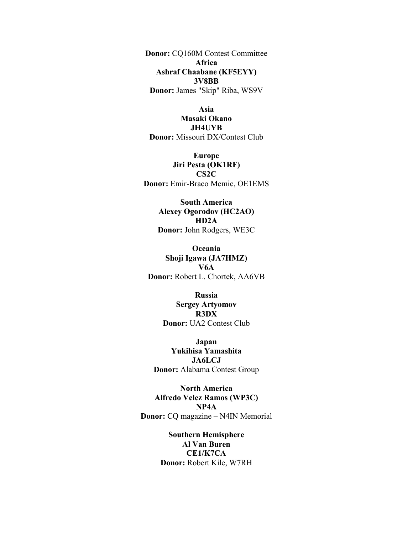**Donor:** CQ160M Contest Committee **Africa Ashraf Chaabane (KF5EYY) 3V8BB Donor:** James "Skip" Riba, WS9V

**Asia Masaki Okano JH4UYB Donor:** Missouri DX/Contest Club

**Europe Jiri Pesta (OK1RF) CS2C Donor:** Emir-Braco Memic, OE1EMS

**South America Alexey Ogorodov (HC2AO) HD2A Donor:** John Rodgers, WE3C

**Oceania Shoji Igawa (JA7HMZ) V6A Donor:** Robert L. Chortek, AA6VB

> **Russia Sergey Artyomov R3DX Donor:** UA2 Contest Club

**Japan Yukihisa Yamashita JA6LCJ Donor:** Alabama Contest Group

**North America Alfredo Velez Ramos (WP3C) NP4A Donor:** CQ magazine – N4IN Memorial

> **Southern Hemisphere Al Van Buren CE1/K7CA Donor:** Robert Kile, W7RH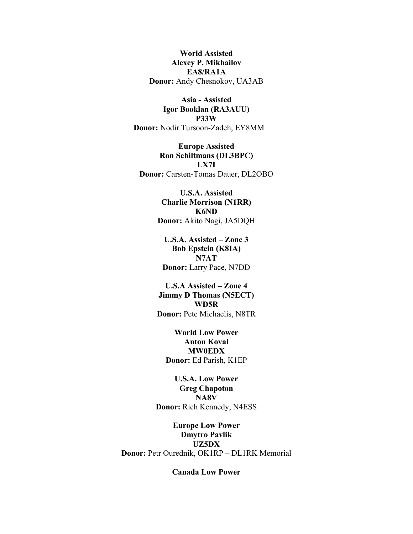**World Assisted Alexey P. Mikhailov EA8/RA1A Donor:** Andy Chesnokov, UA3AB

**Asia - Assisted Igor Booklan (RA3AUU) P33W Donor:** Nodir Tursoon-Zadeh, EY8MM

**Europe Assisted Ron Schiltmans (DL3BPC) LX7I Donor:** Carsten-Tomas Dauer, DL2OBO

> **U.S.A. Assisted Charlie Morrison (N1RR) K6ND Donor:** Akito Nagi, JA5DQH

**U.S.A. Assisted – Zone 3 Bob Epstein (K8IA) N7AT Donor:** Larry Pace, N7DD

**U.S.A Assisted – Zone 4 Jimmy D Thomas (N5ECT) WD5R Donor:** Pete Michaelis, N8TR

**World Low Power Anton Koval MW0EDX Donor:** Ed Parish, K1EP

**U.S.A. Low Power Greg Chapoton NA8V Donor:** Rich Kennedy, N4ESS

**Europe Low Power Dmytro Pavlik UZ5DX Donor:** Petr Ourednik, OK1RP – DL1RK Memorial

**Canada Low Power**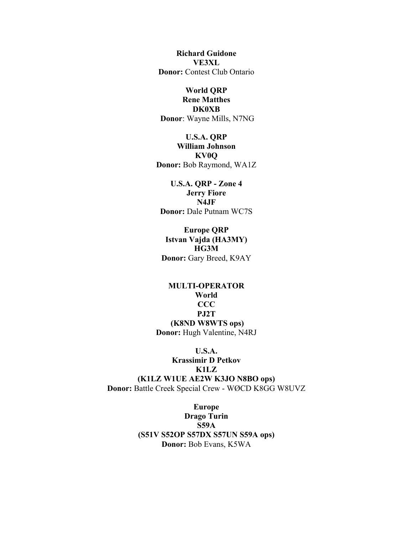**Richard Guidone VE3XL Donor:** Contest Club Ontario

#### **World QRP**

**Rene Matthes DK0XB Donor**: Wayne Mills, N7NG

**U.S.A. QRP William Johnson KV0Q Donor:** Bob Raymond, WA1Z

**U.S.A. QRP - Zone 4 Jerry Fiore N4JF Donor:** Dale Putnam WC7S

**Europe QRP Istvan Vajda (HA3MY) HG3M Donor:** Gary Breed, K9AY

**MULTI-OPERATOR World CCC PJ2T (K8ND W8WTS ops) Donor:** Hugh Valentine, N4RJ

**U.S.A. Krassimir D Petkov K1LZ (K1LZ W1UE AE2W K3JO N8BO ops) Donor:** Battle Creek Special Crew - WØCD K8GG W8UVZ

> **Europe Drago Turin S59A (S51V S52OP S57DX S57UN S59A ops) Donor:** Bob Evans, K5WA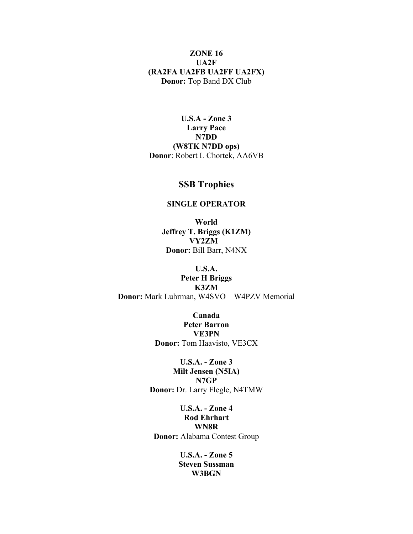### **ZONE 16 UA2F (RA2FA UA2FB UA2FF UA2FX) Donor:** Top Band DX Club

**U.S.A - Zone 3 Larry Pace N7DD (W8TK N7DD ops) Donor**: Robert L Chortek, AA6VB

## **SSB Trophies**

#### **SINGLE OPERATOR**

**World Jeffrey T. Briggs (K1ZM) VY2ZM Donor:** Bill Barr, N4NX

### **U.S.A. Peter H Briggs K3ZM Donor:** Mark Luhrman, W4SVO – W4PZV Memorial

**Canada Peter Barron VE3PN Donor:** Tom Haavisto, VE3CX

**U.S.A. - Zone 3 Milt Jensen (N5IA) N7GP Donor:** Dr. Larry Flegle, N4TMW

**U.S.A. - Zone 4 Rod Ehrhart WN8R Donor:** Alabama Contest Group

> **U.S.A. - Zone 5 Steven Sussman W3BGN**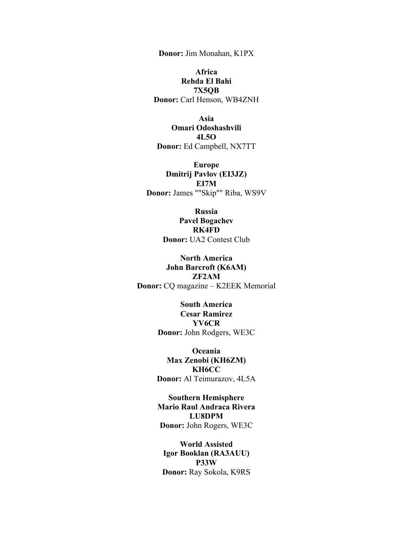**Donor:** Jim Monahan, K1PX

**Africa Rehda El Bahi 7X5QB Donor:** Carl Henson, WB4ZNH

**Asia Omari Odoshashvili 4L5O Donor:** Ed Campbell, NX7TT

**Europe Dmitrij Pavlov (EI3JZ) EI7M Donor:** James ""Skip"" Riba, WS9V

> **Russia Pavel Bogachev RK4FD Donor:** UA2 Contest Club

**North America John Barcroft (K6AM) ZF2AM Donor:** CQ magazine – K2EEK Memorial

> **South America Cesar Ramirez YV6CR Donor:** John Rodgers, WE3C

**Oceania Max Zenobi (KH6ZM) KH6CC Donor:** Al Teimurazov, 4L5A

**Southern Hemisphere Mario Raul Andraca Rivera LU8DPM Donor:** John Rogers, WE3C

**World Assisted Igor Booklan (RA3AUU) P33W Donor:** Ray Sokola, K9RS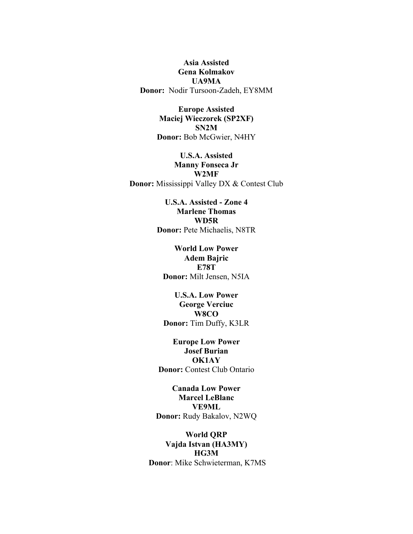**Asia Assisted Gena Kolmakov UA9MA Donor:** Nodir Tursoon-Zadeh, EY8MM

> **Europe Assisted Maciej Wieczorek (SP2XF) SN2M Donor:** Bob McGwier, N4HY

**U.S.A. Assisted Manny Fonseca Jr W2MF Donor:** Mississippi Valley DX & Contest Club

> **U.S.A. Assisted - Zone 4 Marlene Thomas WD5R Donor:** Pete Michaelis, N8TR

**World Low Power Adem Bajric E78T Donor:** Milt Jensen, N5IA

**U.S.A. Low Power George Verciuc W8CO Donor:** Tim Duffy, K3LR

**Europe Low Power Josef Burian OK1AY Donor:** Contest Club Ontario

**Canada Low Power Marcel LeBlanc VE9ML Donor:** Rudy Bakalov, N2WQ

**World QRP Vajda Istvan (HA3MY) HG3M Donor**: Mike Schwieterman, K7MS